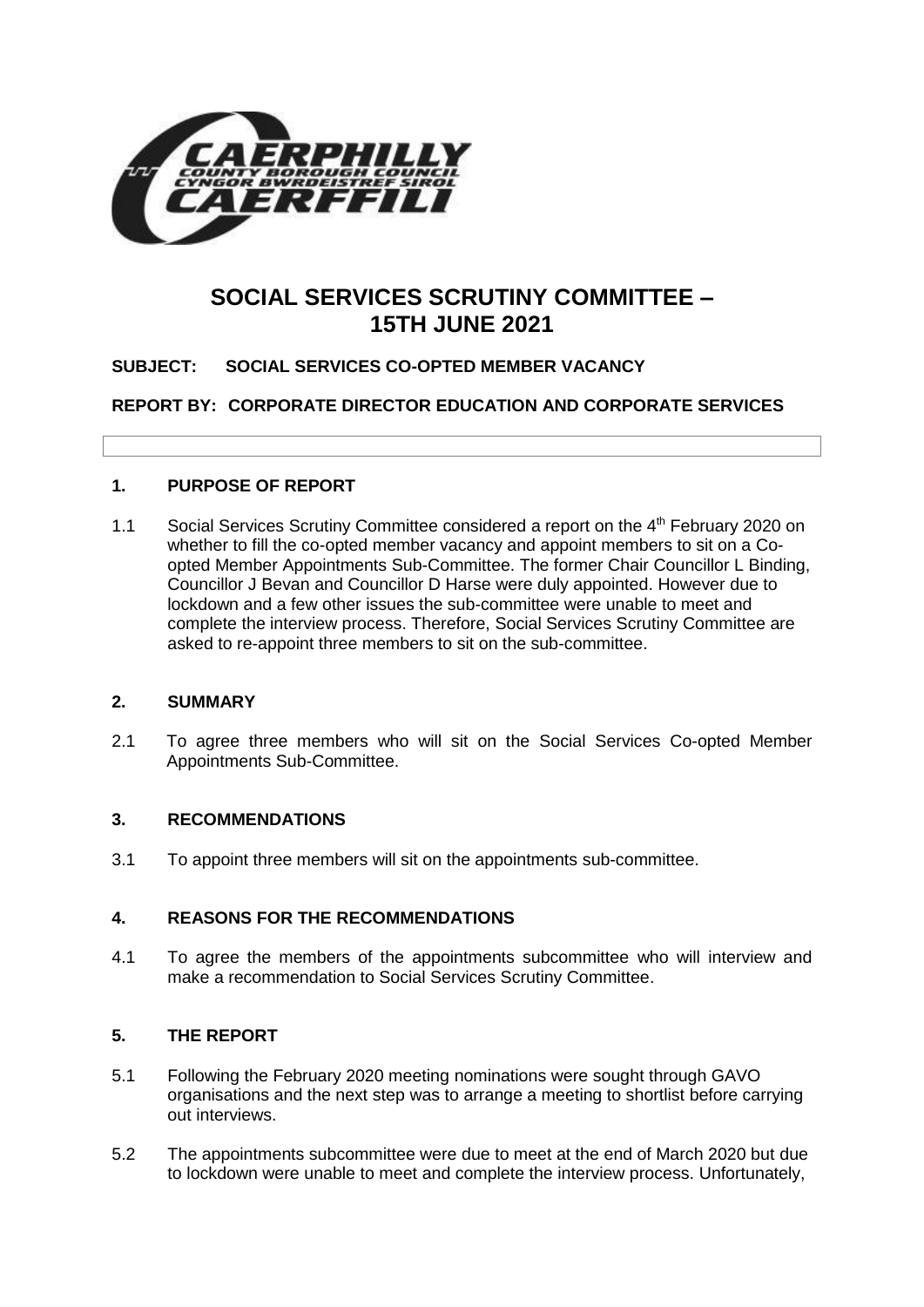

# **SOCIAL SERVICES SCRUTINY COMMITTEE – 15TH JUNE 2021**

# **SUBJECT: SOCIAL SERVICES CO-OPTED MEMBER VACANCY**

**REPORT BY: CORPORATE DIRECTOR EDUCATION AND CORPORATE SERVICES**

# **1. PURPOSE OF REPORT**

1.1 Social Services Scrutiny Committee considered a report on the 4<sup>th</sup> February 2020 on whether to fill the co-opted member vacancy and appoint members to sit on a Coopted Member Appointments Sub-Committee. The former Chair Councillor L Binding, Councillor J Bevan and Councillor D Harse were duly appointed. However due to lockdown and a few other issues the sub-committee were unable to meet and complete the interview process. Therefore, Social Services Scrutiny Committee are asked to re-appoint three members to sit on the sub-committee.

# **2. SUMMARY**

2.1 To agree three members who will sit on the Social Services Co-opted Member Appointments Sub-Committee.

# **3. RECOMMENDATIONS**

3.1 To appoint three members will sit on the appointments sub-committee.

# **4. REASONS FOR THE RECOMMENDATIONS**

4.1 To agree the members of the appointments subcommittee who will interview and make a recommendation to Social Services Scrutiny Committee.

# **5. THE REPORT**

- 5.1 Following the February 2020 meeting nominations were sought through GAVO organisations and the next step was to arrange a meeting to shortlist before carrying out interviews.
- 5.2 The appointments subcommittee were due to meet at the end of March 2020 but due to lockdown were unable to meet and complete the interview process. Unfortunately,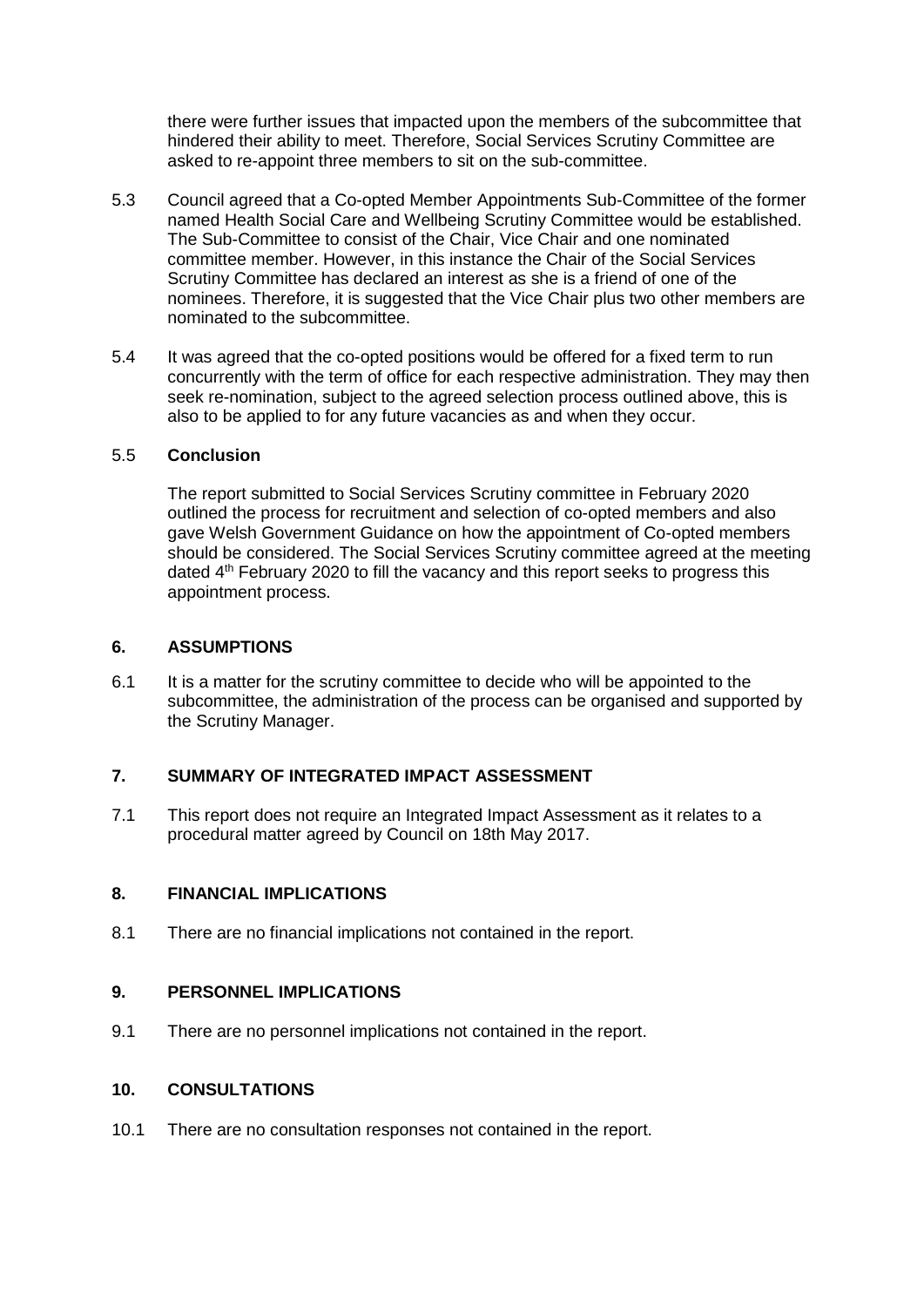there were further issues that impacted upon the members of the subcommittee that hindered their ability to meet. Therefore, Social Services Scrutiny Committee are asked to re-appoint three members to sit on the sub-committee.

- 5.3 Council agreed that a Co-opted Member Appointments Sub-Committee of the former named Health Social Care and Wellbeing Scrutiny Committee would be established. The Sub-Committee to consist of the Chair, Vice Chair and one nominated committee member. However, in this instance the Chair of the Social Services Scrutiny Committee has declared an interest as she is a friend of one of the nominees. Therefore, it is suggested that the Vice Chair plus two other members are nominated to the subcommittee.
- 5.4 It was agreed that the co-opted positions would be offered for a fixed term to run concurrently with the term of office for each respective administration. They may then seek re-nomination, subject to the agreed selection process outlined above, this is also to be applied to for any future vacancies as and when they occur.

#### 5.5 **Conclusion**

The report submitted to Social Services Scrutiny committee in February 2020 outlined the process for recruitment and selection of co-opted members and also gave Welsh Government Guidance on how the appointment of Co-opted members should be considered. The Social Services Scrutiny committee agreed at the meeting dated 4<sup>th</sup> February 2020 to fill the vacancy and this report seeks to progress this appointment process.

#### **6. ASSUMPTIONS**

6.1 It is a matter for the scrutiny committee to decide who will be appointed to the subcommittee, the administration of the process can be organised and supported by the Scrutiny Manager.

# **7. SUMMARY OF INTEGRATED IMPACT ASSESSMENT**

7.1 This report does not require an Integrated Impact Assessment as it relates to a procedural matter agreed by Council on 18th May 2017.

# **8. FINANCIAL IMPLICATIONS**

8.1 There are no financial implications not contained in the report.

#### **9. PERSONNEL IMPLICATIONS**

9.1 There are no personnel implications not contained in the report.

#### **10. CONSULTATIONS**

10.1 There are no consultation responses not contained in the report.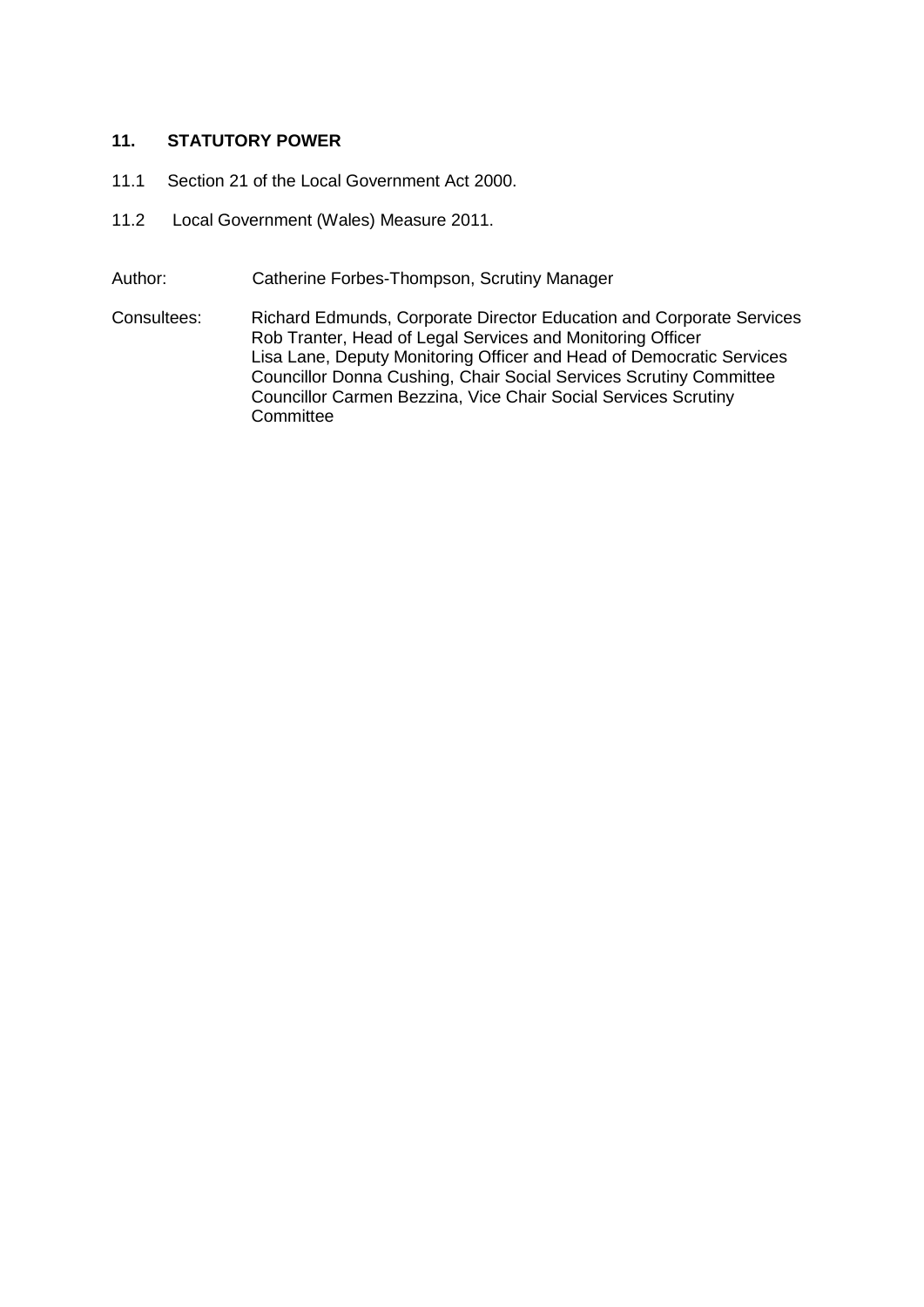# **11. STATUTORY POWER**

- 11.1 Section 21 of the Local Government Act 2000.
- 11.2 Local Government (Wales) Measure 2011.
- Author: Catherine Forbes-Thompson, Scrutiny Manager
- Consultees: Richard Edmunds, Corporate Director Education and Corporate Services Rob Tranter, Head of Legal Services and Monitoring Officer Lisa Lane, Deputy Monitoring Officer and Head of Democratic Services Councillor Donna Cushing, Chair Social Services Scrutiny Committee Councillor Carmen Bezzina, Vice Chair Social Services Scrutiny **Committee**